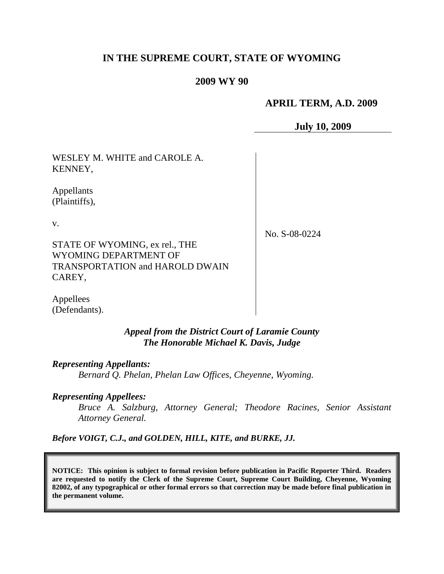# **IN THE SUPREME COURT, STATE OF WYOMING**

### **2009 WY 90**

## **APRIL TERM, A.D. 2009**

**July 10, 2009**

WESLEY M. WHITE and CAROLE A. KENNEY,

Appellants (Plaintiffs),

v.

No. S-08-0224

STATE OF WYOMING, ex rel., THE WYOMING DEPARTMENT OF TRANSPORTATION and HAROLD DWAIN CAREY,

Appellees (Defendants).

> *Appeal from the District Court of Laramie County The Honorable Michael K. Davis, Judge*

*Representing Appellants: Bernard Q. Phelan, Phelan Law Offices, Cheyenne, Wyoming.*

*Representing Appellees:*

*Bruce A. Salzburg, Attorney General; Theodore Racines, Senior Assistant Attorney General.*

*Before VOIGT, C.J., and GOLDEN, HILL, KITE, and BURKE, JJ.*

**NOTICE: This opinion is subject to formal revision before publication in Pacific Reporter Third. Readers are requested to notify the Clerk of the Supreme Court, Supreme Court Building, Cheyenne, Wyoming 82002, of any typographical or other formal errors so that correction may be made before final publication in the permanent volume.**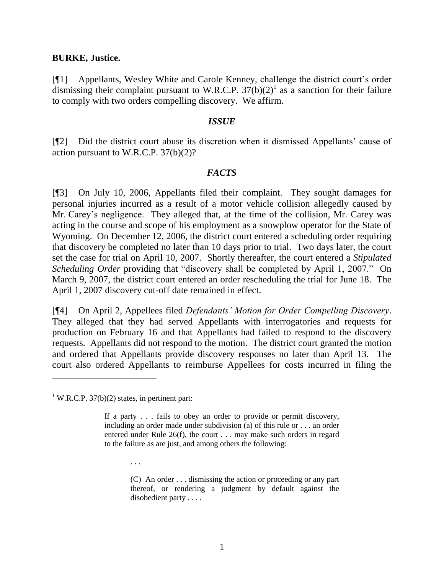#### **BURKE, Justice.**

[¶1] Appellants, Wesley White and Carole Kenney, challenge the district court's order dismissing their complaint pursuant to W.R.C.P.  $37(b)(2)^1$  as a sanction for their failure to comply with two orders compelling discovery. We affirm.

#### *ISSUE*

[¶2] Did the district court abuse its discretion when it dismissed Appellants' cause of action pursuant to W.R.C.P. 37(b)(2)?

### *FACTS*

[¶3] On July 10, 2006, Appellants filed their complaint. They sought damages for personal injuries incurred as a result of a motor vehicle collision allegedly caused by Mr. Carey's negligence. They alleged that, at the time of the collision, Mr. Carey was acting in the course and scope of his employment as a snowplow operator for the State of Wyoming. On December 12, 2006, the district court entered a scheduling order requiring that discovery be completed no later than 10 days prior to trial. Two days later, the court set the case for trial on April 10, 2007. Shortly thereafter, the court entered a *Stipulated Scheduling Order* providing that "discovery shall be completed by April 1, 2007." On March 9, 2007, the district court entered an order rescheduling the trial for June 18. The April 1, 2007 discovery cut-off date remained in effect.

[¶4] On April 2, Appellees filed *Defendants' Motion for Order Compelling Discovery*. They alleged that they had served Appellants with interrogatories and requests for production on February 16 and that Appellants had failed to respond to the discovery requests. Appellants did not respond to the motion. The district court granted the motion and ordered that Appellants provide discovery responses no later than April 13. The court also ordered Appellants to reimburse Appellees for costs incurred in filing the

<sup>1</sup> W.R.C.P. 37(b)(2) states, in pertinent part:

. . .

(C) An order . . . dismissing the action or proceeding or any part thereof, or rendering a judgment by default against the disobedient party . . . .

If a party . . . fails to obey an order to provide or permit discovery, including an order made under subdivision (a) of this rule or . . . an order entered under Rule 26(f), the court . . . may make such orders in regard to the failure as are just, and among others the following: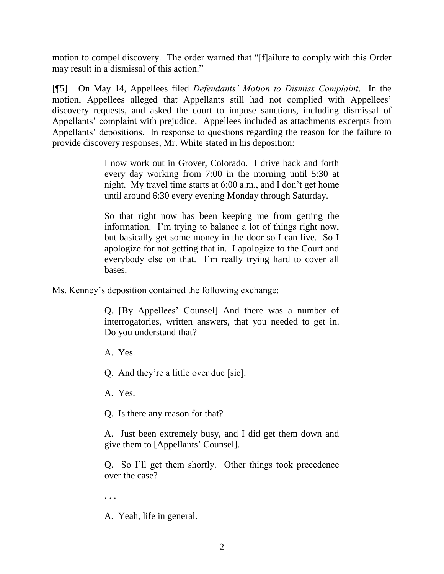motion to compel discovery. The order warned that "[f]ailure to comply with this Order may result in a dismissal of this action."

[¶5] On May 14, Appellees filed *Defendants' Motion to Dismiss Complaint*. In the motion, Appellees alleged that Appellants still had not complied with Appellees' discovery requests, and asked the court to impose sanctions, including dismissal of Appellants' complaint with prejudice. Appellees included as attachments excerpts from Appellants' depositions. In response to questions regarding the reason for the failure to provide discovery responses, Mr. White stated in his deposition:

> I now work out in Grover, Colorado. I drive back and forth every day working from 7:00 in the morning until 5:30 at night. My travel time starts at 6:00 a.m., and I don't get home until around 6:30 every evening Monday through Saturday.

> So that right now has been keeping me from getting the information. I'm trying to balance a lot of things right now, but basically get some money in the door so I can live. So I apologize for not getting that in. I apologize to the Court and everybody else on that. I'm really trying hard to cover all bases.

Ms. Kenney's deposition contained the following exchange:

Q. [By Appellees' Counsel] And there was a number of interrogatories, written answers, that you needed to get in. Do you understand that?

A. Yes.

Q. And they're a little over due [sic].

A. Yes.

Q. Is there any reason for that?

A. Just been extremely busy, and I did get them down and give them to [Appellants' Counsel].

Q. So I'll get them shortly. Other things took precedence over the case?

. . .

A. Yeah, life in general.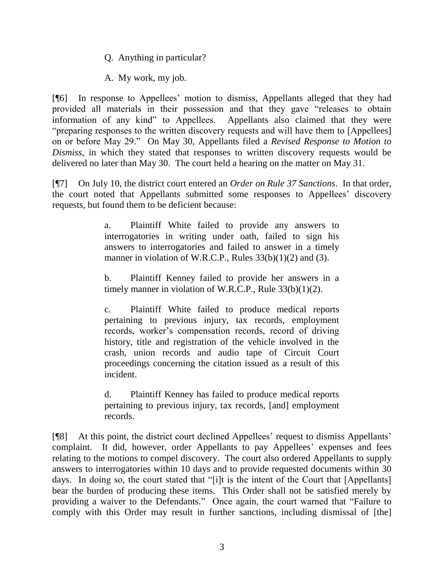Q. Anything in particular?

A. My work, my job.

[¶6] In response to Appellees' motion to dismiss, Appellants alleged that they had provided all materials in their possession and that they gave "releases to obtain information of any kind" to Appellees. Appellants also claimed that they were "preparing responses to the written discovery requests and will have them to [Appellees] on or before May 29." On May 30, Appellants filed a *Revised Response to Motion to Dismiss*, in which they stated that responses to written discovery requests would be delivered no later than May 30. The court held a hearing on the matter on May 31.

[¶7] On July 10, the district court entered an *Order on Rule 37 Sanctions*. In that order, the court noted that Appellants submitted some responses to Appellees' discovery requests, but found them to be deficient because:

> a. Plaintiff White failed to provide any answers to interrogatories in writing under oath, failed to sign his answers to interrogatories and failed to answer in a timely manner in violation of W.R.C.P., Rules  $33(b)(1)(2)$  and (3).

> b. Plaintiff Kenney failed to provide her answers in a timely manner in violation of W.R.C.P., Rule 33(b)(1)(2).

> c. Plaintiff White failed to produce medical reports pertaining to previous injury, tax records, employment records, worker's compensation records, record of driving history, title and registration of the vehicle involved in the crash, union records and audio tape of Circuit Court proceedings concerning the citation issued as a result of this incident.

> d. Plaintiff Kenney has failed to produce medical reports pertaining to previous injury, tax records, [and] employment records.

[¶8] At this point, the district court declined Appellees' request to dismiss Appellants' complaint. It did, however, order Appellants to pay Appellees' expenses and fees relating to the motions to compel discovery. The court also ordered Appellants to supply answers to interrogatories within 10 days and to provide requested documents within 30 days. In doing so, the court stated that "[i]t is the intent of the Court that [Appellants] bear the burden of producing these items. This Order shall not be satisfied merely by providing a waiver to the Defendants." Once again, the court warned that "Failure to comply with this Order may result in further sanctions, including dismissal of [the]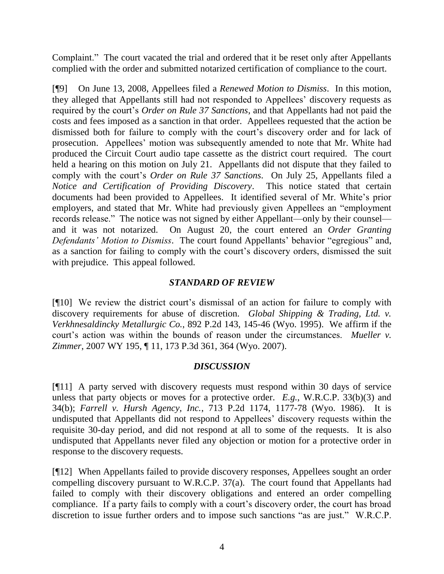Complaint." The court vacated the trial and ordered that it be reset only after Appellants complied with the order and submitted notarized certification of compliance to the court.

[¶9] On June 13, 2008, Appellees filed a *Renewed Motion to Dismiss*. In this motion, they alleged that Appellants still had not responded to Appellees' discovery requests as required by the court's *Order on Rule 37 Sanctions*, and that Appellants had not paid the costs and fees imposed as a sanction in that order. Appellees requested that the action be dismissed both for failure to comply with the court's discovery order and for lack of prosecution. Appellees' motion was subsequently amended to note that Mr. White had produced the Circuit Court audio tape cassette as the district court required. The court held a hearing on this motion on July 21. Appellants did not dispute that they failed to comply with the court's *Order on Rule 37 Sanctions*. On July 25, Appellants filed a *Notice and Certification of Providing Discovery*. This notice stated that certain documents had been provided to Appellees. It identified several of Mr. White's prior employers, and stated that Mr. White had previously given Appellees an "employment records release." The notice was not signed by either Appellant—only by their counsel and it was not notarized. On August 20, the court entered an *Order Granting Defendants' Motion to Dismiss*. The court found Appellants' behavior "egregious" and, as a sanction for failing to comply with the court's discovery orders, dismissed the suit with prejudice. This appeal followed.

### *STANDARD OF REVIEW*

[¶10] We review the district court's dismissal of an action for failure to comply with discovery requirements for abuse of discretion. *Global Shipping & Trading, Ltd. v. Verkhnesaldincky Metallurgic Co.*, 892 P.2d 143, 145-46 (Wyo. 1995). We affirm if the court's action was within the bounds of reason under the circumstances. *Mueller v. Zimmer*, 2007 WY 195, ¶ 11, 173 P.3d 361, 364 (Wyo. 2007).

# *DISCUSSION*

[¶11] A party served with discovery requests must respond within 30 days of service unless that party objects or moves for a protective order. *E.g.*, W.R.C.P. 33(b)(3) and 34(b); *Farrell v. Hursh Agency, Inc.*, 713 P.2d 1174, 1177-78 (Wyo. 1986). It is undisputed that Appellants did not respond to Appellees' discovery requests within the requisite 30-day period, and did not respond at all to some of the requests. It is also undisputed that Appellants never filed any objection or motion for a protective order in response to the discovery requests.

[¶12] When Appellants failed to provide discovery responses, Appellees sought an order compelling discovery pursuant to W.R.C.P. 37(a). The court found that Appellants had failed to comply with their discovery obligations and entered an order compelling compliance. If a party fails to comply with a court's discovery order, the court has broad discretion to issue further orders and to impose such sanctions "as are just." W.R.C.P.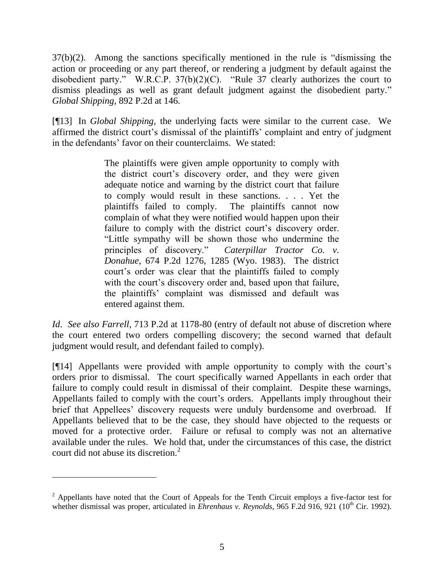37(b)(2). Among the sanctions specifically mentioned in the rule is "dismissing the action or proceeding or any part thereof, or rendering a judgment by default against the disobedient party." W.R.C.P. 37(b)(2)(C). "Rule 37 clearly authorizes the court to dismiss pleadings as well as grant default judgment against the disobedient party." *Global Shipping*, 892 P.2d at 146.

[¶13] In *Global Shipping*, the underlying facts were similar to the current case. We affirmed the district court's dismissal of the plaintiffs' complaint and entry of judgment in the defendants' favor on their counterclaims. We stated:

> The plaintiffs were given ample opportunity to comply with the district court's discovery order, and they were given adequate notice and warning by the district court that failure to comply would result in these sanctions. . . . Yet the plaintiffs failed to comply. The plaintiffs cannot now complain of what they were notified would happen upon their failure to comply with the district court's discovery order. "Little sympathy will be shown those who undermine the principles of discovery." *Caterpillar Tractor Co. v. Donahue*, 674 P.2d 1276, 1285 (Wyo. 1983). The district court's order was clear that the plaintiffs failed to comply with the court's discovery order and, based upon that failure, the plaintiffs' complaint was dismissed and default was entered against them.

*Id*. *See also Farrell*, 713 P.2d at 1178-80 (entry of default not abuse of discretion where the court entered two orders compelling discovery; the second warned that default judgment would result, and defendant failed to comply).

[¶14] Appellants were provided with ample opportunity to comply with the court's orders prior to dismissal. The court specifically warned Appellants in each order that failure to comply could result in dismissal of their complaint. Despite these warnings, Appellants failed to comply with the court's orders. Appellants imply throughout their brief that Appellees' discovery requests were unduly burdensome and overbroad. If Appellants believed that to be the case, they should have objected to the requests or moved for a protective order. Failure or refusal to comply was not an alternative available under the rules. We hold that, under the circumstances of this case, the district court did not abuse its discretion. 2

 $2$  Appellants have noted that the Court of Appeals for the Tenth Circuit employs a five-factor test for whether dismissal was proper, articulated in *Ehrenhaus v. Reynolds*, 965 F.2d 916, 921 (10<sup>th</sup> Cir. 1992).